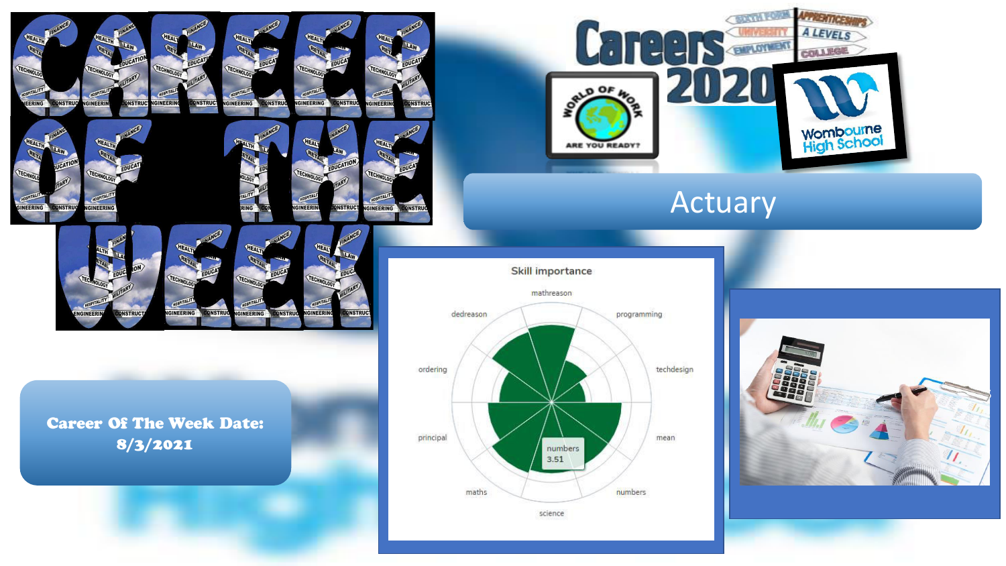

**IGINEERING** 

**ONSTRUC** 

**GINEERII** 

**INSTRU** 



**GINEERING** 

**ONSTRUC** 

**GINEER** 



# Actuary

**Skill importance** 



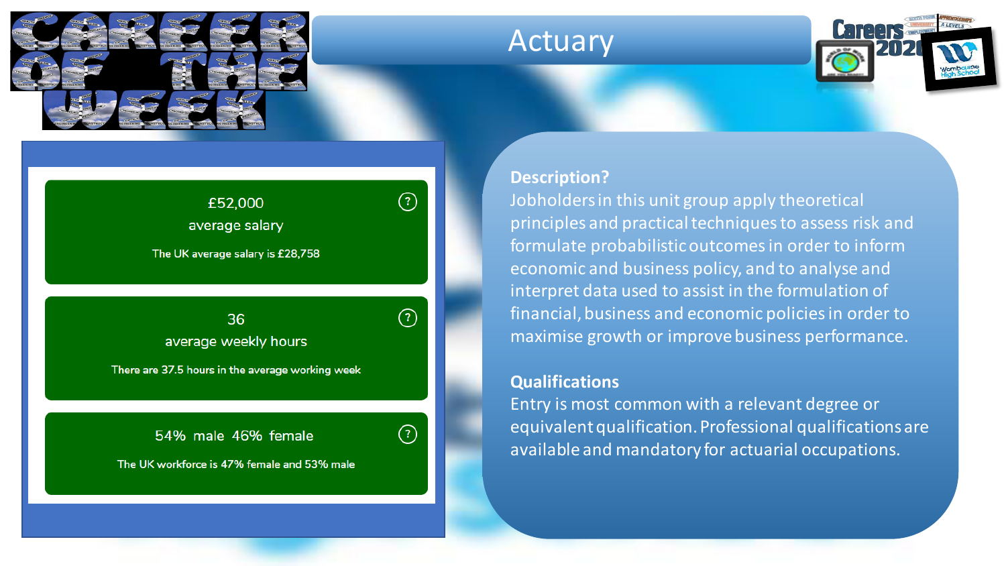

## Actuary



#### **Description?**

 $\circledR$ 

 $(?)$ 

Jobholders in this unit group apply theoretical principles and practical techniques to assess risk and formulate probabilistic outcomes in order to inform economic and business policy, and to analyse and interpret data used to assist in the formulation of financial, business and economic policies in order to maximise growth or improve business performance.

#### **Qualifications**

Entry is most common with a relevant degree or equivalent qualification. Professional qualifications are available and mandatory for actuarial occupations.

### £52,000

average salary

The UK average salary is £28,758

### $36$ <br>average weekly hours workforce workforce workforce workforce stories in the stories of the stories of the stories of the stories of the stories of the stories of the stories of the stories of the stories of the stories of the stories of the st

There are 37.5 hours in the average working week

54% male 46% female The UK workforce is 47% female and 53% male